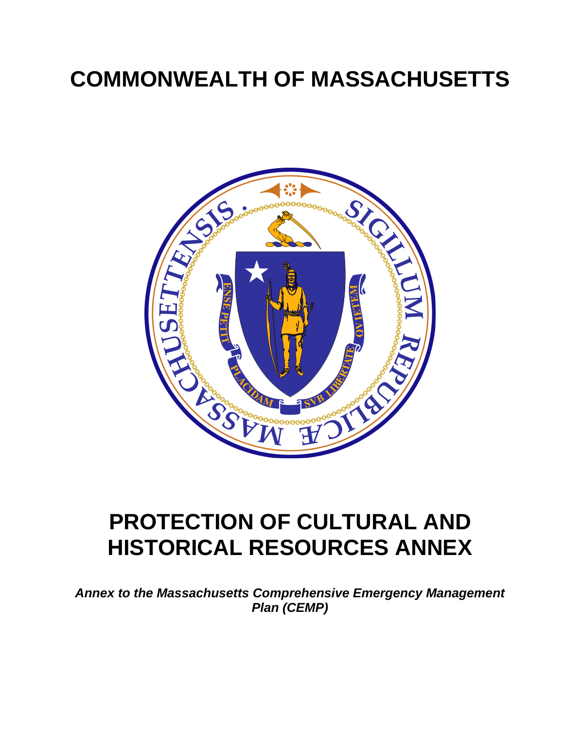# **COMMONWEALTH OF MASSACHUSETTS**



# **PROTECTION OF CULTURAL AND HISTORICAL RESOURCES ANNEX**

*Annex to the Massachusetts Comprehensive Emergency Management Plan (CEMP)*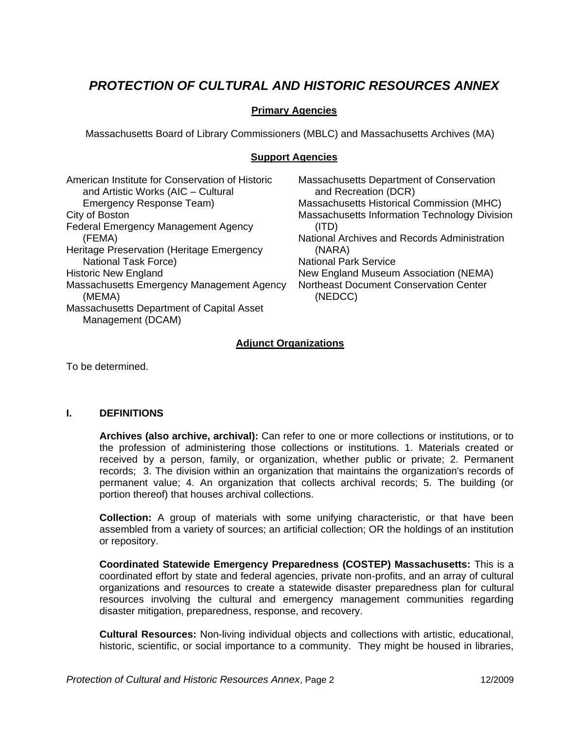# *PROTECTION OF CULTURAL AND HISTORIC RESOURCES ANNEX*

# **Primary Agencies**

Massachusetts Board of Library Commissioners (MBLC) and Massachusetts Archives (MA)

## **Support Agencies**

| American Institute for Conservation of Historic<br>and Artistic Works (AIC - Cultural | Massachusetts Department of Conservation<br>and Recreation (DCR) |
|---------------------------------------------------------------------------------------|------------------------------------------------------------------|
| Emergency Response Team)                                                              | Massachusetts Historical Commission (MHC)                        |
| City of Boston                                                                        | Massachusetts Information Technology Division                    |
| <b>Federal Emergency Management Agency</b>                                            | (ITD)                                                            |
| (FEMA)                                                                                | National Archives and Records Administration                     |
| Heritage Preservation (Heritage Emergency                                             | (NARA)                                                           |
| <b>National Task Force)</b>                                                           | <b>National Park Service</b>                                     |
| <b>Historic New England</b>                                                           | New England Museum Association (NEMA)                            |
| Massachusetts Emergency Management Agency<br>(MEMA)                                   | <b>Northeast Document Conservation Center</b><br>(NEDCC)         |
| Massachusetts Department of Capital Asset                                             |                                                                  |
| Management (DCAM)                                                                     |                                                                  |

## **Adjunct Organizations**

To be determined.

## **I. DEFINITIONS**

**Archives (also archive, archival):** Can refer to one or more collections or institutions, or to the profession of administering those collections or institutions. 1. Materials created or received by a person, family, or organization, whether public or private; 2. Permanent records; 3. The division within an organization that maintains the organization's records of permanent value; 4. An organization that collects archival records; 5. The building (or portion thereof) that houses archival collections.

**Collection:** A group of materials with some unifying characteristic, or that have been assembled from a variety of sources; an artificial collection; OR the holdings of an institution or repository.

**Coordinated Statewide Emergency Preparedness (COSTEP) Massachusetts:** This is a coordinated effort by state and federal agencies, private non-profits, and an array of cultural organizations and resources to create a statewide disaster preparedness plan for cultural resources involving the cultural and emergency management communities regarding disaster mitigation, preparedness, response, and recovery.

**Cultural Resources:** Non-living individual objects and collections with artistic, educational, historic, scientific, or social importance to a community. They might be housed in libraries,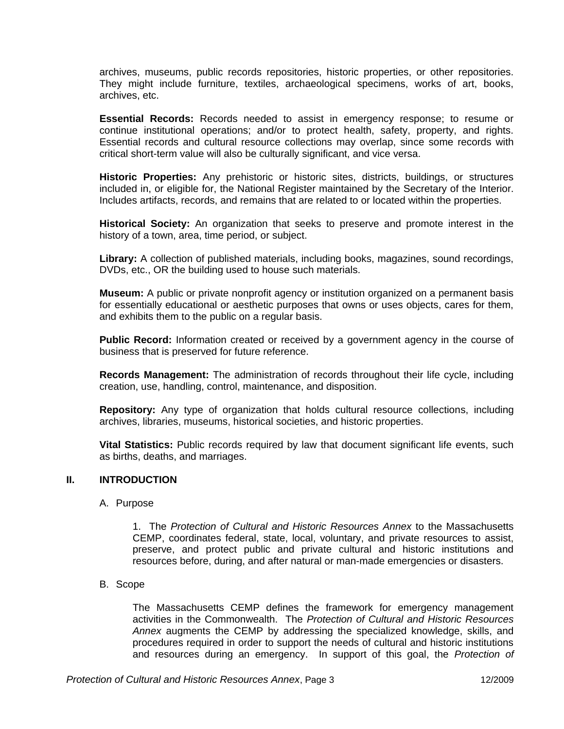archives, museums, public records repositories, historic properties, or other repositories. They might include furniture, textiles, archaeological specimens, works of art, books, archives, etc.

**Essential Records:** Records needed to assist in emergency response; to resume or continue institutional operations; and/or to protect health, safety, property, and rights. Essential records and cultural resource collections may overlap, since some records with critical short-term value will also be culturally significant, and vice versa.

**Historic Properties:** Any prehistoric or historic sites, districts, buildings, or structures included in, or eligible for, the National Register maintained by the Secretary of the Interior. Includes artifacts, records, and remains that are related to or located within the properties.

**Historical Society:** An organization that seeks to preserve and promote interest in the history of a town, area, time period, or subject.

**Library:** A collection of published materials, including books, magazines, sound recordings, DVDs, etc., OR the building used to house such materials.

**Museum:** A public or private nonprofit agency or institution organized on a permanent basis for essentially educational or aesthetic purposes that owns or uses objects, cares for them, and exhibits them to the public on a regular basis.

**Public Record:** Information created or received by a government agency in the course of business that is preserved for future reference.

**Records Management:** The administration of records throughout their life cycle, including creation, use, handling, control, maintenance, and disposition.

**Repository:** Any type of organization that holds cultural resource collections, including archives, libraries, museums, historical societies, and historic properties.

**Vital Statistics:** Public records required by law that document significant life events, such as births, deaths, and marriages.

#### **II. INTRODUCTION**

#### A. Purpose

1. The *Protection of Cultural and Historic Resources Annex* to the Massachusetts CEMP, coordinates federal, state, local, voluntary, and private resources to assist, preserve, and protect public and private cultural and historic institutions and resources before, during, and after natural or man-made emergencies or disasters.

#### B. Scope

The Massachusetts CEMP defines the framework for emergency management activities in the Commonwealth. The *Protection of Cultural and Historic Resources Annex* augments the CEMP by addressing the specialized knowledge, skills, and procedures required in order to support the needs of cultural and historic institutions and resources during an emergency. In support of this goal, the *Protection of*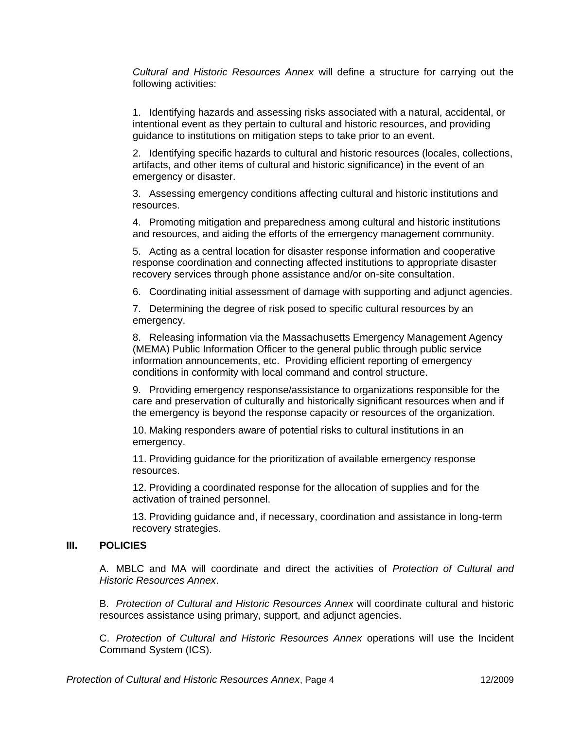*Cultural and Historic Resources Annex* will define a structure for carrying out the following activities:

1. Identifying hazards and assessing risks associated with a natural, accidental, or intentional event as they pertain to cultural and historic resources, and providing guidance to institutions on mitigation steps to take prior to an event.

2. Identifying specific hazards to cultural and historic resources (locales, collections, artifacts, and other items of cultural and historic significance) in the event of an emergency or disaster.

3. Assessing emergency conditions affecting cultural and historic institutions and resources.

4. Promoting mitigation and preparedness among cultural and historic institutions and resources, and aiding the efforts of the emergency management community.

5. Acting as a central location for disaster response information and cooperative response coordination and connecting affected institutions to appropriate disaster recovery services through phone assistance and/or on-site consultation.

6. Coordinating initial assessment of damage with supporting and adjunct agencies.

7. Determining the degree of risk posed to specific cultural resources by an emergency.

8. Releasing information via the Massachusetts Emergency Management Agency (MEMA) Public Information Officer to the general public through public service information announcements, etc. Providing efficient reporting of emergency conditions in conformity with local command and control structure.

9. Providing emergency response/assistance to organizations responsible for the care and preservation of culturally and historically significant resources when and if the emergency is beyond the response capacity or resources of the organization.

10. Making responders aware of potential risks to cultural institutions in an emergency.

11. Providing guidance for the prioritization of available emergency response resources.

12. Providing a coordinated response for the allocation of supplies and for the activation of trained personnel.

13. Providing guidance and, if necessary, coordination and assistance in long-term recovery strategies.

#### **III. POLICIES**

A. MBLC and MA will coordinate and direct the activities of *Protection of Cultural and Historic Resources Annex*.

B. *Protection of Cultural and Historic Resources Annex* will coordinate cultural and historic resources assistance using primary, support, and adjunct agencies.

C. *Protection of Cultural and Historic Resources Annex* operations will use the Incident Command System (ICS).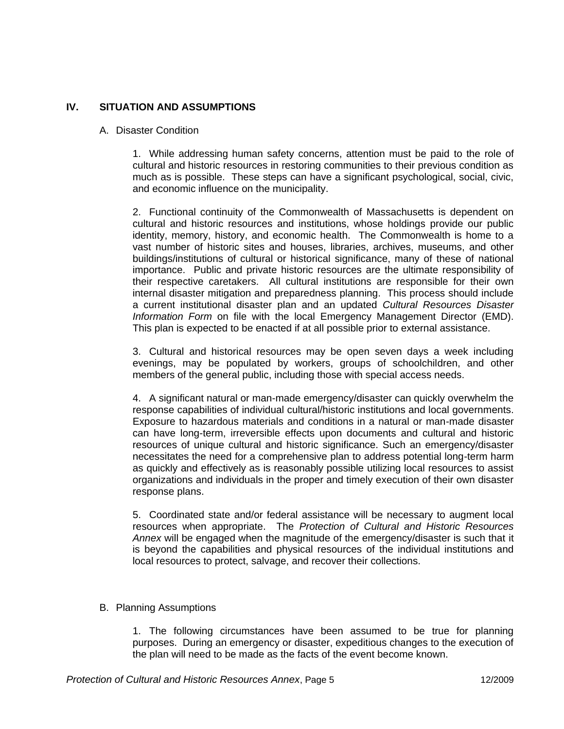# **IV. SITUATION AND ASSUMPTIONS**

#### A. Disaster Condition

1. While addressing human safety concerns, attention must be paid to the role of cultural and historic resources in restoring communities to their previous condition as much as is possible. These steps can have a significant psychological, social, civic, and economic influence on the municipality.

2. Functional continuity of the Commonwealth of Massachusetts is dependent on cultural and historic resources and institutions, whose holdings provide our public identity, memory, history, and economic health. The Commonwealth is home to a vast number of historic sites and houses, libraries, archives, museums, and other buildings/institutions of cultural or historical significance, many of these of national importance. Public and private historic resources are the ultimate responsibility of their respective caretakers. All cultural institutions are responsible for their own internal disaster mitigation and preparedness planning. This process should include a current institutional disaster plan and an updated *Cultural Resources Disaster Information Form* on file with the local Emergency Management Director (EMD). This plan is expected to be enacted if at all possible prior to external assistance.

3. Cultural and historical resources may be open seven days a week including evenings, may be populated by workers, groups of schoolchildren, and other members of the general public, including those with special access needs.

4. A significant natural or man-made emergency/disaster can quickly overwhelm the response capabilities of individual cultural/historic institutions and local governments. Exposure to hazardous materials and conditions in a natural or man-made disaster can have long-term, irreversible effects upon documents and cultural and historic resources of unique cultural and historic significance. Such an emergency/disaster necessitates the need for a comprehensive plan to address potential long-term harm as quickly and effectively as is reasonably possible utilizing local resources to assist organizations and individuals in the proper and timely execution of their own disaster response plans.

5. Coordinated state and/or federal assistance will be necessary to augment local resources when appropriate. The *Protection of Cultural and Historic Resources Annex* will be engaged when the magnitude of the emergency/disaster is such that it is beyond the capabilities and physical resources of the individual institutions and local resources to protect, salvage, and recover their collections.

#### B. Planning Assumptions

1. The following circumstances have been assumed to be true for planning purposes. During an emergency or disaster, expeditious changes to the execution of the plan will need to be made as the facts of the event become known.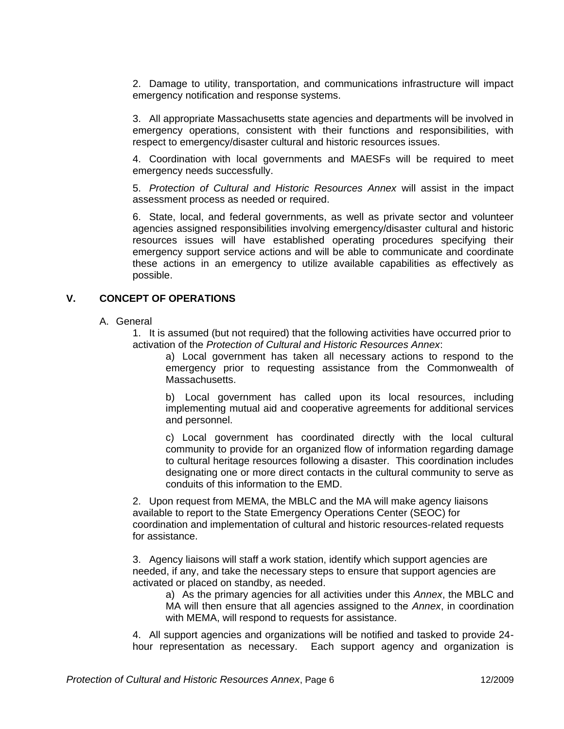2. Damage to utility, transportation, and communications infrastructure will impact emergency notification and response systems.

3. All appropriate Massachusetts state agencies and departments will be involved in emergency operations, consistent with their functions and responsibilities, with respect to emergency/disaster cultural and historic resources issues.

4. Coordination with local governments and MAESFs will be required to meet emergency needs successfully.

5. *Protection of Cultural and Historic Resources Annex* will assist in the impact assessment process as needed or required.

6. State, local, and federal governments, as well as private sector and volunteer agencies assigned responsibilities involving emergency/disaster cultural and historic resources issues will have established operating procedures specifying their emergency support service actions and will be able to communicate and coordinate these actions in an emergency to utilize available capabilities as effectively as possible.

#### **V. CONCEPT OF OPERATIONS**

A. General

1. It is assumed (but not required) that the following activities have occurred prior to activation of the *Protection of Cultural and Historic Resources Annex*:

a) Local government has taken all necessary actions to respond to the emergency prior to requesting assistance from the Commonwealth of Massachusetts.

b) Local government has called upon its local resources, including implementing mutual aid and cooperative agreements for additional services and personnel.

c) Local government has coordinated directly with the local cultural community to provide for an organized flow of information regarding damage to cultural heritage resources following a disaster. This coordination includes designating one or more direct contacts in the cultural community to serve as conduits of this information to the EMD.

2. Upon request from MEMA, the MBLC and the MA will make agency liaisons available to report to the State Emergency Operations Center (SEOC) for coordination and implementation of cultural and historic resources-related requests for assistance.

3. Agency liaisons will staff a work station, identify which support agencies are needed, if any, and take the necessary steps to ensure that support agencies are activated or placed on standby, as needed.

a) As the primary agencies for all activities under this *Annex*, the MBLC and MA will then ensure that all agencies assigned to the *Annex*, in coordination with MEMA, will respond to requests for assistance.

4. All support agencies and organizations will be notified and tasked to provide 24 hour representation as necessary. Each support agency and organization is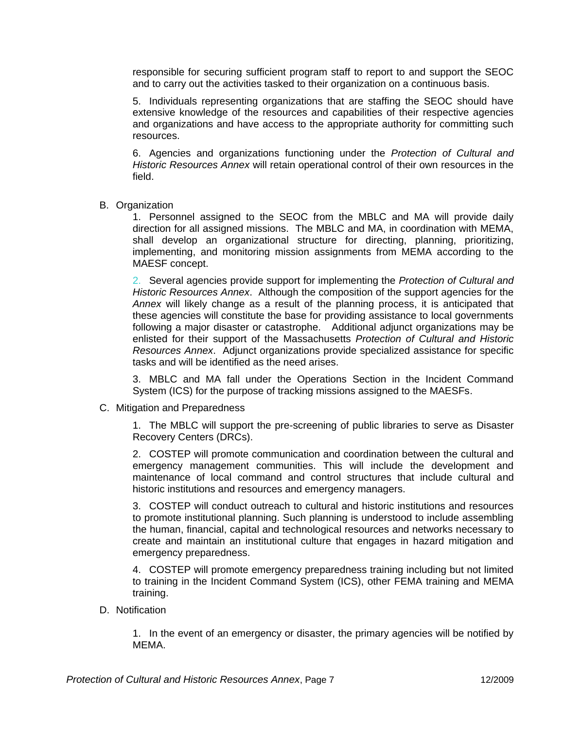responsible for securing sufficient program staff to report to and support the SEOC and to carry out the activities tasked to their organization on a continuous basis.

5. Individuals representing organizations that are staffing the SEOC should have extensive knowledge of the resources and capabilities of their respective agencies and organizations and have access to the appropriate authority for committing such resources.

6. Agencies and organizations functioning under the *Protection of Cultural and Historic Resources Annex* will retain operational control of their own resources in the field.

B. Organization

1. Personnel assigned to the SEOC from the MBLC and MA will provide daily direction for all assigned missions. The MBLC and MA, in coordination with MEMA, shall develop an organizational structure for directing, planning, prioritizing, implementing, and monitoring mission assignments from MEMA according to the MAESF concept.

2. Several agencies provide support for implementing the *Protection of Cultural and Historic Resources Annex*. Although the composition of the support agencies for the *Annex* will likely change as a result of the planning process, it is anticipated that these agencies will constitute the base for providing assistance to local governments following a major disaster or catastrophe. Additional adjunct organizations may be enlisted for their support of the Massachusetts *Protection of Cultural and Historic Resources Annex*. Adjunct organizations provide specialized assistance for specific tasks and will be identified as the need arises.

3. MBLC and MA fall under the Operations Section in the Incident Command System (ICS) for the purpose of tracking missions assigned to the MAESFs.

C. Mitigation and Preparedness

1. The MBLC will support the pre-screening of public libraries to serve as Disaster Recovery Centers (DRCs).

2. COSTEP will promote communication and coordination between the cultural and emergency management communities. This will include the development and maintenance of local command and control structures that include cultural and historic institutions and resources and emergency managers.

3. COSTEP will conduct outreach to cultural and historic institutions and resources to promote institutional planning. Such planning is understood to include assembling the human, financial, capital and technological resources and networks necessary to create and maintain an institutional culture that engages in hazard mitigation and emergency preparedness.

4. COSTEP will promote emergency preparedness training including but not limited to training in the Incident Command System (ICS), other FEMA training and MEMA training.

D. Notification

1. In the event of an emergency or disaster, the primary agencies will be notified by MEMA.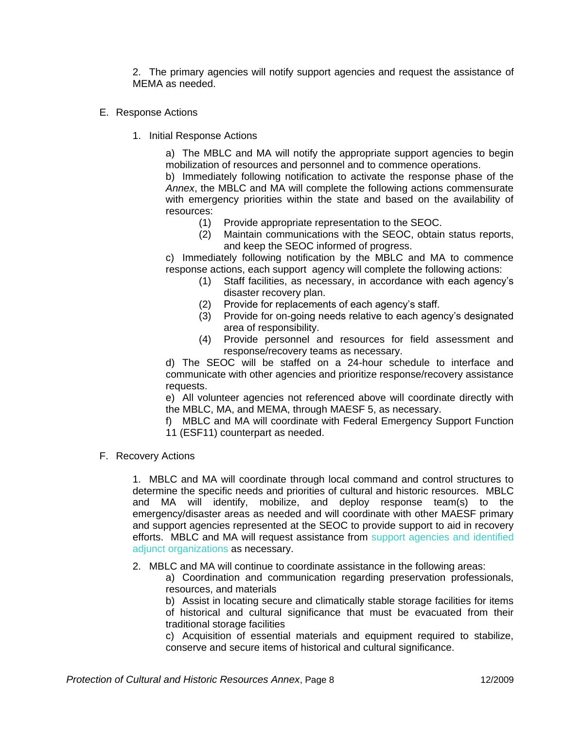2. The primary agencies will notify support agencies and request the assistance of MEMA as needed.

- E. Response Actions
	- 1. Initial Response Actions

a) The MBLC and MA will notify the appropriate support agencies to begin mobilization of resources and personnel and to commence operations.

b) Immediately following notification to activate the response phase of the *Annex*, the MBLC and MA will complete the following actions commensurate with emergency priorities within the state and based on the availability of resources:

- (1) Provide appropriate representation to the SEOC.
- (2) Maintain communications with the SEOC, obtain status reports, and keep the SEOC informed of progress.

c) Immediately following notification by the MBLC and MA to commence response actions, each support agency will complete the following actions:

- (1) Staff facilities, as necessary, in accordance with each agency's disaster recovery plan.
- (2) Provide for replacements of each agency's staff.
- (3) Provide for on-going needs relative to each agency's designated area of responsibility.
- (4) Provide personnel and resources for field assessment and response/recovery teams as necessary.

d) The SEOC will be staffed on a 24-hour schedule to interface and communicate with other agencies and prioritize response/recovery assistance requests.

e) All volunteer agencies not referenced above will coordinate directly with the MBLC, MA, and MEMA, through MAESF 5, as necessary.

f) MBLC and MA will coordinate with Federal Emergency Support Function 11 (ESF11) counterpart as needed.

F. Recovery Actions

1. MBLC and MA will coordinate through local command and control structures to determine the specific needs and priorities of cultural and historic resources. MBLC and MA will identify, mobilize, and deploy response team(s) to the emergency/disaster areas as needed and will coordinate with other MAESF primary and support agencies represented at the SEOC to provide support to aid in recovery efforts. MBLC and MA will request assistance from support agencies and identified adjunct organizations as necessary.

2. MBLC and MA will continue to coordinate assistance in the following areas:

a) Coordination and communication regarding preservation professionals, resources, and materials

b) Assist in locating secure and climatically stable storage facilities for items of historical and cultural significance that must be evacuated from their traditional storage facilities

c) Acquisition of essential materials and equipment required to stabilize, conserve and secure items of historical and cultural significance.